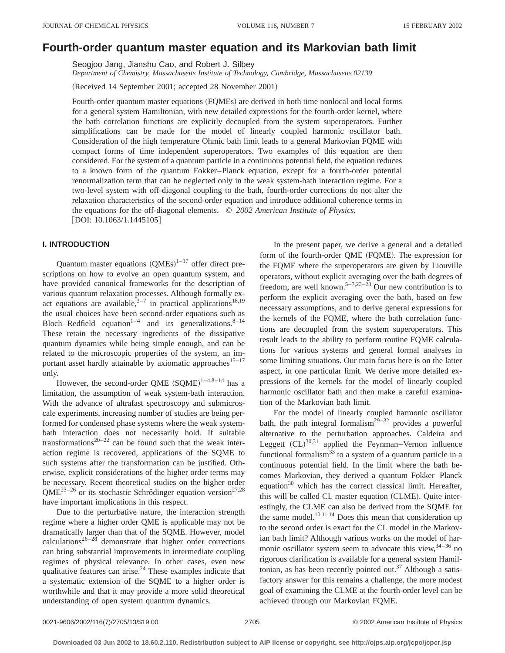# **Fourth-order quantum master equation and its Markovian bath limit**

Seogjoo Jang, Jianshu Cao, and Robert J. Silbey

*Department of Chemistry, Massachusetts Institute of Technology, Cambridge, Massachusetts 02139*

(Received 14 September 2001; accepted 28 November 2001)

Fourth-order quantum master equations (FQMEs) are derived in both time nonlocal and local forms for a general system Hamiltonian, with new detailed expressions for the fourth-order kernel, where the bath correlation functions are explicitly decoupled from the system superoperators. Further simplifications can be made for the model of linearly coupled harmonic oscillator bath. Consideration of the high temperature Ohmic bath limit leads to a general Markovian FQME with compact forms of time independent superoperators. Two examples of this equation are then considered. For the system of a quantum particle in a continuous potential field, the equation reduces to a known form of the quantum Fokker–Planck equation, except for a fourth-order potential renormalization term that can be neglected only in the weak system-bath interaction regime. For a two-level system with off-diagonal coupling to the bath, fourth-order corrections do not alter the relaxation characteristics of the second-order equation and introduce additional coherence terms in the equations for the off-diagonal elements. © *2002 American Institute of Physics.*  $[DOI: 10.1063/1.1445105]$ 

## **I. INTRODUCTION**

Quantum master equations  $(QMEs)^{1-17}$  offer direct prescriptions on how to evolve an open quantum system, and have provided canonical frameworks for the description of various quantum relaxation processes. Although formally exact equations are available,  $3-7$  in practical applications<sup>18,19</sup> the usual choices have been second-order equations such as Bloch–Redfield equation<sup>1–4</sup> and its generalizations.<sup>8–14</sup> These retain the necessary ingredients of the dissipative quantum dynamics while being simple enough, and can be related to the microscopic properties of the system, an important asset hardly attainable by axiomatic approaches $15-17$ only.

However, the second-order QME  $(SQME)^{1-4,8-14}$  has a limitation, the assumption of weak system-bath interaction. With the advance of ultrafast spectroscopy and submicroscale experiments, increasing number of studies are being performed for condensed phase systems where the weak systembath interaction does not necessarily hold. If suitable transformations $20-22$  can be found such that the weak interaction regime is recovered, applications of the SQME to such systems after the transformation can be justified. Otherwise, explicit considerations of the higher order terms may be necessary. Recent theoretical studies on the higher order  $QME^{23-26}$  or its stochastic Schrödinger equation version<sup>27,28</sup> have important implications in this respect.

Due to the perturbative nature, the interaction strength regime where a higher order QME is applicable may not be dramatically larger than that of the SQME. However, model calculations<sup>26–28</sup> demonstrate that higher order corrections can bring substantial improvements in intermediate coupling regimes of physical relevance. In other cases, even new qualitative features can arise. $24$  These examples indicate that a systematic extension of the SQME to a higher order is worthwhile and that it may provide a more solid theoretical understanding of open system quantum dynamics.

In the present paper, we derive a general and a detailed form of the fourth-order QME (FQME). The expression for the FQME where the superoperators are given by Liouville operators, without explicit averaging over the bath degrees of freedom, are well known.<sup>5–7,23–28</sup> Our new contribution is to perform the explicit averaging over the bath, based on few necessary assumptions, and to derive general expressions for the kernels of the FQME, where the bath correlation functions are decoupled from the system superoperators. This result leads to the ability to perform routine FQME calculations for various systems and general formal analyses in some limiting situations. Our main focus here is on the latter aspect, in one particular limit. We derive more detailed expressions of the kernels for the model of linearly coupled harmonic oscillator bath and then make a careful examination of the Markovian bath limit.

For the model of linearly coupled harmonic oscillator bath, the path integral formalism<sup>29–32</sup> provides a powerful alternative to the perturbation approaches. Caldeira and Leggett  $(CL)^{30,31}$  applied the Feynman–Vernon influence functional formalism<sup>33</sup> to a system of a quantum particle in a continuous potential field. In the limit where the bath becomes Markovian, they derived a quantum Fokker–Planck equation $30$  which has the correct classical limit. Hereafter, this will be called CL master equation (CLME). Quite interestingly, the CLME can also be derived from the SQME for the same model.<sup>10,11,14</sup> Does this mean that consideration up to the second order is exact for the CL model in the Markovian bath limit? Although various works on the model of harmonic oscillator system seem to advocate this view,  $34-36$  no rigorous clarification is available for a general system Hamiltonian, as has been recently pointed out.<sup>37</sup> Although a satisfactory answer for this remains a challenge, the more modest goal of examining the CLME at the fourth-order level can be achieved through our Markovian FQME.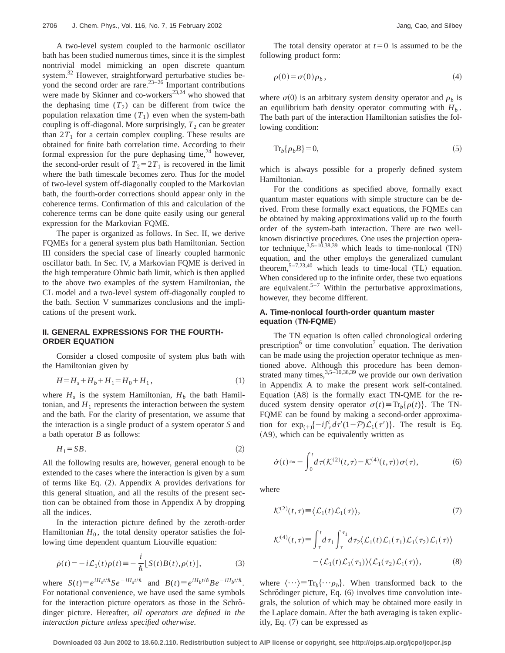A two-level system coupled to the harmonic oscillator bath has been studied numerous times, since it is the simplest nontrivial model mimicking an open discrete quantum system.32 However, straightforward perturbative studies beyond the second order are rare. $23-26$  Important contributions were made by Skinner and co-workers $^{23,24}$  who showed that the dephasing time  $(T_2)$  can be different from twice the population relaxation time  $(T_1)$  even when the system-bath coupling is off-diagonal. More surprisingly,  $T_2$  can be greater than  $2T_1$  for a certain complex coupling. These results are obtained for finite bath correlation time. According to their formal expression for the pure dephasing time, $24$  however, the second-order result of  $T_2=2T_1$  is recovered in the limit where the bath timescale becomes zero. Thus for the model of two-level system off-diagonally coupled to the Markovian bath, the fourth-order corrections should appear only in the coherence terms. Confirmation of this and calculation of the coherence terms can be done quite easily using our general expression for the Markovian FQME.

The paper is organized as follows. In Sec. II, we derive FQMEs for a general system plus bath Hamiltonian. Section III considers the special case of linearly coupled harmonic oscillator bath. In Sec. IV, a Markovian FQME is derived in the high temperature Ohmic bath limit, which is then applied to the above two examples of the system Hamiltonian, the CL model and a two-level system off-diagonally coupled to the bath. Section V summarizes conclusions and the implications of the present work.

## **II. GENERAL EXPRESSIONS FOR THE FOURTH-ORDER EQUATION**

Consider a closed composite of system plus bath with the Hamiltonian given by

$$
H = H_s + H_b + H_1 = H_0 + H_1,\tag{1}
$$

where  $H_s$  is the system Hamiltonian,  $H_b$  the bath Hamiltonian, and  $H_1$  represents the interaction between the system and the bath. For the clarity of presentation, we assume that the interaction is a single product of a system operator *S* and a bath operator *B* as follows:

$$
H_1 = SB.\t\t(2)
$$

All the following results are, however, general enough to be extended to the cases where the interaction is given by a sum of terms like Eq.  $(2)$ . Appendix A provides derivations for this general situation, and all the results of the present section can be obtained from those in Appendix A by dropping all the indices.

In the interaction picture defined by the zeroth-order Hamiltonian  $H_0$ , the total density operator satisfies the following time dependent quantum Liouville equation:

$$
\dot{\rho}(t) = -i\mathcal{L}_1(t)\rho(t) \equiv -\frac{i}{\hbar} [S(t)B(t), \rho(t)],\tag{3}
$$

where  $S(t) \equiv e^{iH_s t/\hbar} S e^{-iH_s t/\hbar}$  and  $B(t) \equiv e^{iH_b t/\hbar} B e^{-iH_b t/\hbar}$ . For notational convenience, we have used the same symbols for the interaction picture operators as those in the Schrödinger picture. Hereafter, *all operators are defined in the interaction picture unless specified otherwise*.

The total density operator at  $t=0$  is assumed to be the following product form:

$$
\rho(0) = \sigma(0)\rho_b, \qquad (4)
$$

where  $\sigma(0)$  is an arbitrary system density operator and  $\rho_b$  is an equilibrium bath density operator commuting with  $H<sub>b</sub>$ . The bath part of the interaction Hamiltonian satisfies the following condition:

$$
\operatorname{Tr}_b\{\rho_b B\} = 0,\tag{5}
$$

which is always possible for a properly defined system Hamiltonian.

For the conditions as specified above, formally exact quantum master equations with simple structure can be derived. From these formally exact equations, the FQMEs can be obtained by making approximations valid up to the fourth order of the system-bath interaction. There are two wellknown distinctive procedures. One uses the projection operator technique,  $3.5-10,38,39$  which leads to time-nonlocal  $(TN)$ equation, and the other employs the generalized cumulant theorem,  $5-7,23,40$  which leads to time-local (TL) equation. When considered up to the infinite order, these two equations are equivalent.<sup>5–7</sup> Within the perturbative approximations, however, they become different.

## **A. Time-nonlocal fourth-order quantum master equation** (TN-FQME)

The TN equation is often called chronological ordering prescription<sup>6</sup> or time convolution<sup>7</sup> equation. The derivation can be made using the projection operator technique as mentioned above. Although this procedure has been demonstrated many times,  $3.5 - 10.38,39$  we provide our own derivation in Appendix A to make the present work self-contained. Equation  $(AB)$  is the formally exact TN-QME for the reduced system density operator  $\sigma(t) \equiv \text{Tr}_b\{\rho(t)\}\$ . The TN-FQME can be found by making a second-order approximation for  $\exp_{(+)}\{-i\int_{\tau}^{t} d\tau'(1-\mathcal{P})\mathcal{L}_1(\tau')\}$ . The result is Eq.  $(A9)$ , which can be equivalently written as

$$
\dot{\sigma}(t) \approx -\int_0^t d\tau (\mathcal{K}^{(2)}(t,\tau) - \mathcal{K}^{(4)}(t,\tau)) \sigma(\tau), \tag{6}
$$

where

$$
\mathcal{K}^{(2)}(t,\tau) \equiv \langle \mathcal{L}_1(t)\mathcal{L}_1(\tau) \rangle, \tag{7}
$$

$$
\mathcal{K}^{(4)}(t,\tau) \equiv \int_{\tau}^{t} d\tau_{1} \int_{\tau}^{\tau_{1}} d\tau_{2} \langle \mathcal{L}_{1}(t) \mathcal{L}_{1}(\tau_{1}) \mathcal{L}_{1}(\tau_{2}) \mathcal{L}_{1}(\tau) \rangle
$$

$$
- \langle \mathcal{L}_{1}(t) \mathcal{L}_{1}(\tau_{1}) \rangle \langle \mathcal{L}_{1}(\tau_{2}) \mathcal{L}_{1}(\tau) \rangle, \tag{8}
$$

where  $\langle \cdots \rangle = \text{Tr}_b \{ \cdots \rho_b \}$ . When transformed back to the Schrödinger picture, Eq.  $(6)$  involves time convolution integrals, the solution of which may be obtained more easily in the Laplace domain. After the bath averaging is taken explicitly, Eq.  $(7)$  can be expressed as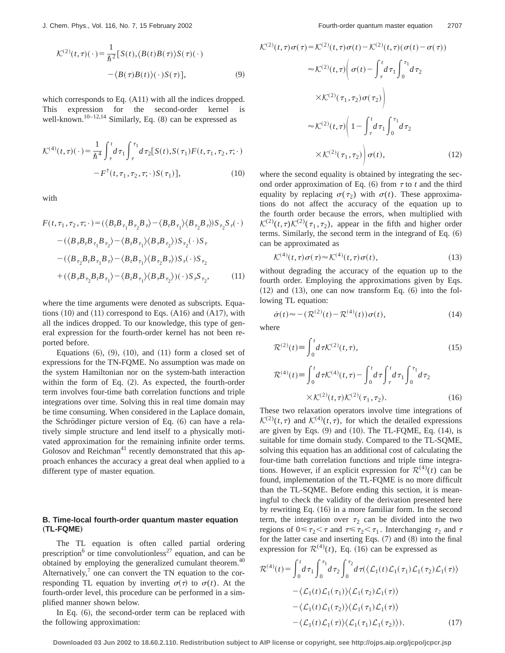$$
\mathcal{K}^{(2)}(t,\tau)(\cdot) = \frac{1}{\hbar^2} \left[ S(t), \langle B(t)B(\tau) \rangle S(\tau)(\cdot) - \langle B(\tau)B(t) \rangle (\cdot) S(\tau) \right],\tag{9}
$$

which corresponds to Eq.  $(A11)$  with all the indices dropped. This expression for the second-order kernel is well-known.<sup>10–12,14</sup> Similarly, Eq.  $(8)$  can be expressed as

$$
\mathcal{K}^{(4)}(t,\tau)(\,\cdot\,) = \frac{1}{\hbar^4} \int_{\tau}^{t} d\tau_1 \int_{\tau}^{\tau_1} d\tau_2 [S(t), S(\tau_1) F(t, \tau_1, \tau_2, \tau; \cdot) - F^{\dagger}(t, \tau_1, \tau_2, \tau; \cdot) S(\tau_1)], \tag{10}
$$

with

$$
F(t, \tau_1, \tau_2, \tau; \cdot) = (\langle B_I B_{\tau_1} B_{\tau_2} B_{\tau} \rangle - \langle B_I B_{\tau_1} \rangle \langle B_{\tau_2} B_{\tau} \rangle) S_{\tau_2} S_{\tau}(\cdot)
$$

$$
- (\langle B_{\tau} B_I B_{\tau_1} B_{\tau_2} \rangle - \langle B_I B_{\tau_1} \rangle \langle B_{\tau} B_{\tau_2} \rangle) S_{\tau_2}(\cdot) S_{\tau}
$$

$$
- (\langle B_{\tau_2} B_I B_{\tau_1} B_{\tau} \rangle - \langle B_I B_{\tau_1} \rangle \langle B_{\tau_2} B_{\tau} \rangle) S_{\tau}(\cdot) S_{\tau_2}
$$

$$
+ (\langle B_{\tau} B_{\tau_2} B_I B_{\tau_1} \rangle - \langle B_I B_{\tau_1} \rangle \langle B_{\tau} B_{\tau_2} \rangle)(\cdot) S_{\tau} S_{\tau_2}, \qquad (11)
$$

where the time arguments were denoted as subscripts. Equations  $(10)$  and  $(11)$  correspond to Eqs.  $(A16)$  and  $(A17)$ , with all the indices dropped. To our knowledge, this type of general expression for the fourth-order kernel has not been reported before.

Equations  $(6)$ ,  $(9)$ ,  $(10)$ , and  $(11)$  form a closed set of expressions for the TN-FQME. No assumption was made on the system Hamiltonian nor on the system-bath interaction within the form of Eq.  $(2)$ . As expected, the fourth-order term involves four-time bath correlation functions and triple integrations over time. Solving this in real time domain may be time consuming. When considered in the Laplace domain, the Schrödinger picture version of Eq.  $(6)$  can have a relatively simple structure and lend itself to a physically motivated approximation for the remaining infinite order terms. Golosov and Reichman<sup>41</sup> recently demonstrated that this approach enhances the accuracy a great deal when applied to a different type of master equation.

## **B. Time-local fourth-order quantum master equation** "**TL-FQME**…

The TL equation is often called partial ordering prescription<sup>6</sup> or time convolutionless<sup>27</sup> equation, and can be obtained by employing the generalized cumulant theorem.<sup>40</sup> Alternatively, $\alpha$  one can convert the TN equation to the corresponding TL equation by inverting  $\sigma(\tau)$  to  $\sigma(t)$ . At the fourth-order level, this procedure can be performed in a simplified manner shown below.

In Eq.  $(6)$ , the second-order term can be replaced with the following approximation:

$$
\mathcal{K}^{(2)}(t,\tau)\sigma(\tau) = \mathcal{K}^{(2)}(t,\tau)\sigma(t) - \mathcal{K}^{(2)}(t,\tau)(\sigma(t) - \sigma(\tau))
$$

$$
\approx \mathcal{K}^{(2)}(t,\tau) \left(\sigma(t) - \int_{\tau}^{t} d\tau_{1} \int_{0}^{\tau_{1}} d\tau_{2}
$$

$$
\times \mathcal{K}^{(2)}(\tau_{1},\tau_{2})\sigma(\tau_{2})\right)
$$

$$
\approx \mathcal{K}^{(2)}(t,\tau) \left(1 - \int_{\tau}^{t} d\tau_{1} \int_{0}^{\tau_{1}} d\tau_{2}
$$

$$
\times \mathcal{K}^{(2)}(\tau_{1},\tau_{2})\right)\sigma(t), \qquad (12)
$$

where the second equality is obtained by integrating the second order approximation of Eq.  $(6)$  from  $\tau$  to *t* and the third equality by replacing  $\sigma(\tau_2)$  with  $\sigma(t)$ . These approximations do not affect the accuracy of the equation up to the fourth order because the errors, when multiplied with  $\mathcal{K}^{(2)}(t,\tau)\mathcal{K}^{(2)}(\tau_1,\tau_2)$ , appear in the fifth and higher order terms. Similarly, the second term in the integrand of Eq.  $(6)$ can be approximated as

$$
\mathcal{K}^{(4)}(t,\tau)\sigma(\tau) \approx \mathcal{K}^{(4)}(t,\tau)\sigma(t),\tag{13}
$$

without degrading the accuracy of the equation up to the fourth order. Employing the approximations given by Eqs.  $(12)$  and  $(13)$ , one can now transform Eq.  $(6)$  into the following TL equation:

$$
\dot{\sigma}(t) \approx -(\mathcal{R}^{(2)}(t) - \mathcal{R}^{(4)}(t))\sigma(t),\tag{14}
$$

where

$$
\mathcal{R}^{(2)}(t) \equiv \int_0^t d\tau \mathcal{K}^{(2)}(t,\tau),
$$
\n(15)  
\n
$$
\mathcal{R}^{(4)}(t) \equiv \int_0^t d\tau \mathcal{K}^{(4)}(t,\tau) - \int_0^t d\tau \int_\tau^t d\tau_1 \int_0^{\tau_1} d\tau_2
$$
\n
$$
\times \mathcal{K}^{(2)}(t,\tau) \mathcal{K}^{(2)}(\tau_1,\tau_2).
$$

These two relaxation operators involve time integrations of  $\mathcal{K}^{(2)}(t,\tau)$  and  $\mathcal{K}^{(4)}(t,\tau)$ , for which the detailed expressions are given by Eqs.  $(9)$  and  $(10)$ . The TL-FQME, Eq.  $(14)$ , is suitable for time domain study. Compared to the TL-SQME, solving this equation has an additional cost of calculating the four-time bath correlation functions and triple time integrations. However, if an explicit expression for  $\mathcal{R}^{(4)}(t)$  can be found, implementation of the TL-FQME is no more difficult than the TL-SQME. Before ending this section, it is meaningful to check the validity of the derivation presented here by rewriting Eq.  $(16)$  in a more familiar form. In the second term, the integration over  $\tau_2$  can be divided into the two regions of  $0 \le \tau_2 < \tau$  and  $\tau \le \tau_2 < \tau_1$ . Interchanging  $\tau_2$  and  $\tau$ for the latter case and inserting Eqs.  $(7)$  and  $(8)$  into the final expression for  $\mathcal{R}^{(4)}(t)$ , Eq. (16) can be expressed as

$$
\mathcal{R}^{(4)}(t) = \int_0^t d\tau_1 \int_0^{\tau_1} d\tau_2 \int_0^{\tau_2} d\tau (\langle \mathcal{L}_1(t) \mathcal{L}_1(\tau_1) \mathcal{L}_1(\tau_2) \mathcal{L}_1(\tau) \rangle \n- \langle \mathcal{L}_1(t) \mathcal{L}_1(\tau_1) \rangle \langle \mathcal{L}_1(\tau_2) \mathcal{L}_1(\tau) \rangle \n- \langle \mathcal{L}_1(t) \mathcal{L}_1(\tau_2) \rangle \langle \mathcal{L}_1(\tau_1) \mathcal{L}_1(\tau) \rangle \n- \langle \mathcal{L}_1(t) \mathcal{L}_1(\tau) \rangle \langle \mathcal{L}_1(\tau_1) \mathcal{L}_1(\tau_2) \rangle.
$$
\n(17)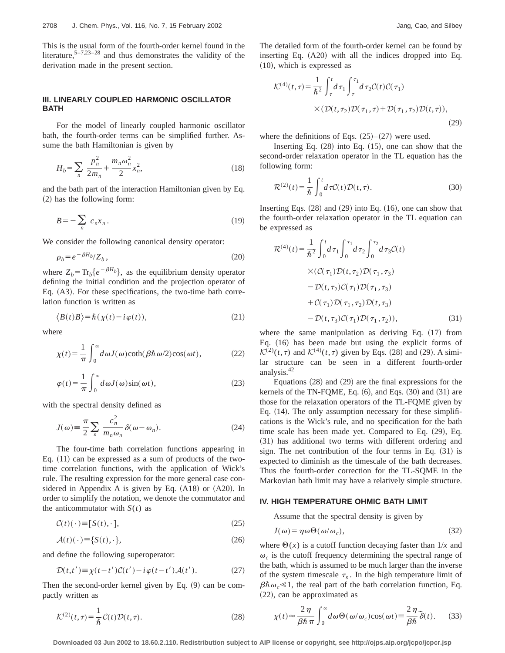This is the usual form of the fourth-order kernel found in the literature,  $5-7,23-28$  and thus demonstrates the validity of the derivation made in the present section.

## **III. LINEARLY COUPLED HARMONIC OSCILLATOR BATH**

For the model of linearly coupled harmonic oscillator bath, the fourth-order terms can be simplified further. Assume the bath Hamiltonian is given by

$$
H_b = \sum_n \frac{p_n^2}{2m_n} + \frac{m_n \omega_n^2}{2} x_n^2,
$$
 (18)

and the bath part of the interaction Hamiltonian given by Eq.  $(2)$  has the following form:

$$
B = -\sum_{n} c_n x_n. \tag{19}
$$

We consider the following canonical density operator:

$$
\rho_b = e^{-\beta H_b} / Z_b \,,\tag{20}
$$

where  $Z_b = Tr_b \{e^{-\beta H_b}\}\$ , as the equilibrium density operator defining the initial condition and the projection operator of Eq.  $(A3)$ . For these specifications, the two-time bath correlation function is written as

$$
\langle B(t)B \rangle = \hbar(\chi(t) - i\varphi(t)),\tag{21}
$$

where

$$
\chi(t) = \frac{1}{\pi} \int_0^\infty d\omega J(\omega) \coth(\beta \hbar \omega/2) \cos(\omega t),\tag{22}
$$

$$
\varphi(t) = \frac{1}{\pi} \int_0^\infty d\omega J(\omega) \sin(\omega t),\tag{23}
$$

with the spectral density defined as

$$
J(\omega) \equiv \frac{\pi}{2} \sum_{n} \frac{c_n^2}{m_n \omega_n} \delta(\omega - \omega_n).
$$
 (24)

The four-time bath correlation functions appearing in Eq.  $(11)$  can be expressed as a sum of products of the twotime correlation functions, with the application of Wick's rule. The resulting expression for the more general case considered in Appendix A is given by Eq.  $(A18)$  or  $(A20)$ . In order to simplify the notation, we denote the commutator and the anticommutator with  $S(t)$  as

$$
\mathcal{C}(t)(\cdot) \equiv [S(t), \cdot],\tag{25}
$$

$$
\mathcal{A}(t)(\cdot) \equiv \{S(t), \cdot\},\tag{26}
$$

and define the following superoperator:

$$
\mathcal{D}(t,t') \equiv \chi(t-t')\mathcal{C}(t') - i\varphi(t-t')\mathcal{A}(t'). \tag{27}
$$

Then the second-order kernel given by Eq.  $(9)$  can be compactly written as

$$
\mathcal{K}^{(2)}(t,\tau) = \frac{1}{\hbar} \mathcal{C}(t) \mathcal{D}(t,\tau). \tag{28}
$$

The detailed form of the fourth-order kernel can be found by inserting Eq.  $(A20)$  with all the indices dropped into Eq.  $(10)$ , which is expressed as

$$
\mathcal{K}^{(4)}(t,\tau) = \frac{1}{\hbar^2} \int_{\tau}^{t} d\tau_1 \int_{\tau}^{\tau_1} d\tau_2 \mathcal{C}(t) \mathcal{C}(\tau_1)
$$
  
 
$$
\times (\mathcal{D}(t,\tau_2) \mathcal{D}(\tau_1,\tau) + \mathcal{D}(\tau_1,\tau_2) \mathcal{D}(t,\tau)),
$$
 (29)

where the definitions of Eqs.  $(25)$ – $(27)$  were used.

Inserting Eq.  $(28)$  into Eq.  $(15)$ , one can show that the second-order relaxation operator in the TL equation has the following form:

$$
\mathcal{R}^{(2)}(t) = \frac{1}{\hbar} \int_0^t d\tau \mathcal{C}(t) \mathcal{D}(t, \tau). \tag{30}
$$

Inserting Eqs.  $(28)$  and  $(29)$  into Eq.  $(16)$ , one can show that the fourth-order relaxation operator in the TL equation can be expressed as

$$
\mathcal{R}^{(4)}(t) = \frac{1}{\hbar^2} \int_0^t d\tau_1 \int_0^{\tau_1} d\tau_2 \int_0^{\tau_2} d\tau_3 \mathcal{C}(t) \times (\mathcal{C}(\tau_1) \mathcal{D}(t, \tau_2) \mathcal{D}(\tau_1, \tau_3) \n- \mathcal{D}(t, \tau_2) \mathcal{C}(\tau_1) \mathcal{D}(\tau_1, \tau_3) \n+ \mathcal{C}(\tau_1) \mathcal{D}(\tau_1, \tau_2) \mathcal{D}(t, \tau_3) \n- \mathcal{D}(t, \tau_3) \mathcal{C}(\tau_1) \mathcal{D}(\tau_1, \tau_2)),
$$
\n(31)

where the same manipulation as deriving Eq.  $(17)$  from Eq.  $(16)$  has been made but using the explicit forms of  $\mathcal{K}^{(2)}(t,\tau)$  and  $\mathcal{K}^{(4)}(t,\tau)$  given by Eqs. (28) and (29). A similar structure can be seen in a different fourth-order analysis.42

Equations  $(28)$  and  $(29)$  are the final expressions for the kernels of the TN-FQME, Eq.  $(6)$ , and Eqs.  $(30)$  and  $(31)$  are those for the relaxation operators of the TL-FQME given by Eq.  $(14)$ . The only assumption necessary for these simplifications is the Wick's rule, and no specification for the bath time scale has been made yet. Compared to Eq.  $(29)$ , Eq.  $(31)$  has additional two terms with different ordering and sign. The net contribution of the four terms in Eq.  $(31)$  is expected to diminish as the timescale of the bath decreases. Thus the fourth-order correction for the TL-SQME in the Markovian bath limit may have a relatively simple structure.

#### **IV. HIGH TEMPERATURE OHMIC BATH LIMIT**

Assume that the spectral density is given by

$$
J(\omega) = \eta \omega \Theta(\omega/\omega_c), \qquad (32)
$$

where  $\Theta(x)$  is a cutoff function decaying faster than  $1/x$  and  $\omega_c$  is the cutoff frequency determining the spectral range of the bath, which is assumed to be much larger than the inverse of the system timescale  $\tau_s$ . In the high temperature limit of  $\beta \hbar \omega_c \ll 1$ , the real part of the bath correlation function, Eq.  $(22)$ , can be approximated as

$$
\chi(t) \approx \frac{2\,\eta}{\beta\hbar\,\pi} \int_0^\infty d\omega \Theta(\omega/\omega_c) \cos(\omega t) \equiv \frac{2\,\eta}{\beta\hbar} \,\tilde{\delta}(t). \tag{33}
$$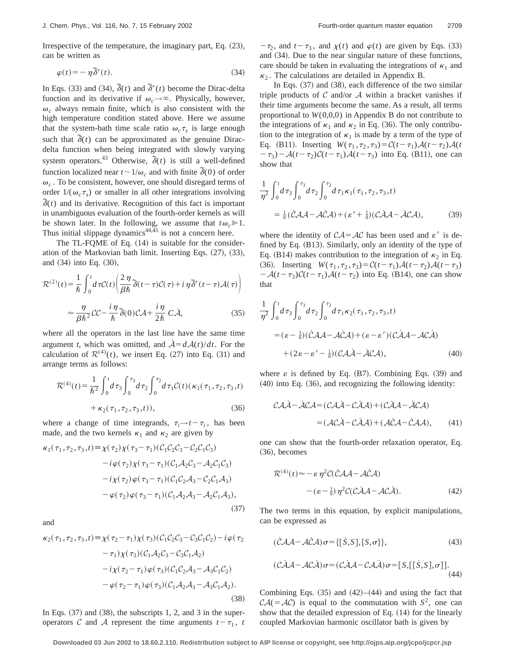Irrespective of the temperature, the imaginary part, Eq.  $(23)$ , can be written as

$$
\varphi(t) = -\eta \, \widetilde{\delta}'(t). \tag{34}
$$

In Eqs. (33) and (34),  $\tilde{\delta}(t)$  and  $\tilde{\delta}'(t)$  become the Dirac-delta function and its derivative if  $\omega_c \rightarrow \infty$ . Physically, however,  $\omega_c$  always remain finite, which is also consistent with the high temperature condition stated above. Here we assume that the system-bath time scale ratio  $\omega_c \tau_s$  is large enough such that  $\tilde{\delta}(t)$  can be approximated as the genuine Diracdelta function when being integrated with slowly varying system operators.<sup>43</sup> Otherwise,  $\delta(t)$  is still a well-defined function localized near  $t \sim 1/\omega_c$  and with finite  $\tilde{\delta}(0)$  of order  $\omega_c$ . To be consistent, however, one should disregard terms of order  $1/(\omega_c \tau_s)$  or smaller in all other integrations involving  $\delta(t)$  and its derivative. Recognition of this fact is important in unambiguous evaluation of the fourth-order kernels as will be shown later. In the following, we assume that  $t\omega_c \ge 1$ . Thus initial slippage dynamics $44,45$  is not a concern here.

The TL-FQME of Eq.  $(14)$  is suitable for the consideration of the Markovian bath limit. Inserting Eqs.  $(27)$ ,  $(33)$ , and  $(34)$  into Eq.  $(30)$ ,

$$
\mathcal{R}^{(2)}(t) = \frac{1}{\hbar} \int_0^t d\tau C(t) \left( \frac{2\,\eta}{\beta\hbar} \, \widetilde{\delta}(t-\tau) C(\tau) + i\,\eta \, \widetilde{\delta}'(t-\tau) \mathcal{A}(\tau) \right) \\ \approx \frac{\eta}{\beta\hbar^2} C C - \frac{i\,\eta}{\hbar} \, \widetilde{\delta}(0) C \mathcal{A} + \frac{i\,\eta}{2\hbar} C \dot{\mathcal{A}}, \tag{35}
$$

where all the operators in the last line have the same time argument *t*, which was omitted, and  $A = dA(t)/dt$ . For the calculation of  $\mathcal{R}^{(4)}(t)$ , we insert Eq. (27) into Eq. (31) and arrange terms as follows:

$$
\mathcal{R}^{(4)}(t) = \frac{1}{\hbar^2} \int_0^t d\tau_3 \int_0^{\tau_3} d\tau_2 \int_0^{\tau_2} d\tau_1 \mathcal{C}(t) (\kappa_1(\tau_1, \tau_2, \tau_3, t))
$$
\n
$$
+ \kappa_2(\tau_1, \tau_2, \tau_3, t))
$$
\n(36)

$$
+\kappa_2(\tau_1,\tau_2,\tau_3,t)),\tag{36}
$$

where a change of time integrands,  $\tau_i \rightarrow t - \tau_i$ , has been made, and the two kernels  $\kappa_1$  and  $\kappa_2$  are given by

$$
\kappa_1(\tau_1, \tau_2, \tau_3, t) \equiv \chi(\tau_2) \chi(\tau_3 - \tau_1) (\mathcal{C}_1 \mathcal{C}_2 \mathcal{C}_3 - \mathcal{C}_2 \mathcal{C}_1 \mathcal{C}_3)
$$
  
\n
$$
-i \varphi(\tau_2) \chi(\tau_3 - \tau_1) (\mathcal{C}_1 \mathcal{A}_2 \mathcal{C}_3 - \mathcal{A}_2 \mathcal{C}_1 \mathcal{C}_3)
$$
  
\n
$$
-i \chi(\tau_2) \varphi(\tau_3 - \tau_1) (\mathcal{C}_1 \mathcal{C}_2 \mathcal{A}_3 - \mathcal{C}_2 \mathcal{C}_1 \mathcal{A}_3)
$$
  
\n
$$
- \varphi(\tau_2) \varphi(\tau_3 - \tau_1) (\mathcal{C}_1 \mathcal{A}_2 \mathcal{A}_3 - \mathcal{A}_2 \mathcal{C}_1 \mathcal{A}_3),
$$
  
\n(37)

and

$$
\kappa_2(\tau_1, \tau_2, \tau_3, t) \equiv \chi(\tau_2 - \tau_1) \chi(\tau_3) (\mathcal{C}_1 \mathcal{C}_2 \mathcal{C}_3 - \mathcal{C}_3 \mathcal{C}_1 \mathcal{C}_2) - i \varphi(\tau_2 \n- \tau_1) \chi(\tau_3) (\mathcal{C}_1 \mathcal{A}_2 \mathcal{C}_3 - \mathcal{C}_3 \mathcal{C}_1 \mathcal{A}_2) \n- i \chi(\tau_2 - \tau_1) \varphi(\tau_3) (\mathcal{C}_1 \mathcal{C}_2 \mathcal{A}_3 - \mathcal{A}_3 \mathcal{C}_1 \mathcal{C}_2) \n- \varphi(\tau_2 - \tau_1) \varphi(\tau_3) (\mathcal{C}_1 \mathcal{A}_2 \mathcal{A}_3 - \mathcal{A}_3 \mathcal{C}_1 \mathcal{A}_2).
$$
\n(38)

In Eqs.  $(37)$  and  $(38)$ , the subscripts 1, 2, and 3 in the superoperators C and A represent the time arguments  $t-\tau_1$ , *t* 

 $-\tau_2$ , and  $t-\tau_3$ , and  $\chi(t)$  and  $\varphi(t)$  are given by Eqs. (33) and  $(34)$ . Due to the near singular nature of these functions, care should be taken in evaluating the integrations of  $\kappa_1$  and  $\kappa_2$ . The calculations are detailed in Appendix B.

In Eqs.  $(37)$  and  $(38)$ , each difference of the two similar triple products of  $C$  and/or  $A$  within a bracket vanishes if their time arguments become the same. As a result, all terms proportional to  $W(0,0,0)$  in Appendix B do not contribute to the integrations of  $\kappa_1$  and  $\kappa_2$  in Eq. (36). The only contribution to the integration of  $\kappa_1$  is made by a term of the type of Eq. (B11). Inserting  $W(\tau_1, \tau_2, \tau_3) = C(t - \tau_1)\mathcal{A}(t - \tau_2)\mathcal{A}(t)$  $(-\tau_3) - \mathcal{A}(t - \tau_2)\mathcal{C}(t - \tau_1)\mathcal{A}(t - \tau_3)$  into Eq. (B11), one can show that

$$
\frac{1}{\eta^2} \int_0^t d\tau_3 \int_0^{\tau_3} d\tau_2 \int_0^{\tau_2} d\tau_1 \kappa_1(\tau_1, \tau_2, \tau_3, t)
$$

$$
= \frac{1}{8} (\mathcal{C} \mathcal{A} \mathcal{A} - \mathcal{A} \mathcal{C} \mathcal{A}) + (\varepsilon' + \frac{1}{8}) (\mathcal{C} \mathcal{A} \mathcal{A} - \mathcal{A} \mathcal{C} \mathcal{A}), \tag{39}
$$

where the identity of  $CA = AC$  has been used and  $\varepsilon'$  is defined by Eq.  $(B13)$ . Similarly, only an identity of the type of Eq. (B14) makes contribution to the integration of  $\kappa_2$  in Eq. (36). Inserting  $W(\tau_1, \tau_2, \tau_3) = C(t - \tau_1)\mathcal{A}(t - \tau_2)\mathcal{A}(t - \tau_3)$  $-\mathcal{A}(t-\tau_3)\mathcal{C}(t-\tau_1)\mathcal{A}(t-\tau_2)$  into Eq. (B14), one can show that

$$
\frac{1}{\eta^2} \int_0^t d\tau_3 \int_0^{\tau_3} d\tau_2 \int_0^{\tau_2} d\tau_1 \kappa_2(\tau_1, \tau_2, \tau_3, t)
$$
  
=  $(\varepsilon - \frac{1}{8}) (\dot{C} \mathcal{A} \mathcal{A} - \mathcal{A} \dot{C} \mathcal{A}) + (\varepsilon - \varepsilon') (\mathcal{C} \dot{\mathcal{A}} \mathcal{A} - \mathcal{A} \mathcal{C} \dot{\mathcal{A}})$   
+  $(2\varepsilon - \varepsilon' - \frac{1}{8}) (\mathcal{C} \mathcal{A} \dot{\mathcal{A}} - \dot{\mathcal{A}} \mathcal{C} \dot{\mathcal{A}}),$  (40)

where  $\varepsilon$  is defined by Eq. (B7). Combining Eqs. (39) and  $(40)$  into Eq.  $(36)$ , and recognizing the following identity:

$$
CA\ddot{A} - \dot{A}CA = (CA\dot{A} - CAA) + (C\dot{A}A - \dot{A}CA)
$$

$$
= (AC\dot{A} - C\dot{A}A) + (AC\dot{A} - \dot{C}AA), \qquad (41)
$$

one can show that the fourth-order relaxation operator, Eq.  $(36)$ , becomes

$$
\mathcal{R}^{(4)}(t) \approx -\varepsilon \eta^2 C(\mathcal{C}AA - \mathcal{A}\mathcal{C}\mathcal{A})
$$

$$
-(\varepsilon - \frac{1}{8}) \eta^2 C(\mathcal{C}\mathcal{A}A - \mathcal{A}\mathcal{C}\mathcal{A}). \tag{42}
$$

The two terms in this equation, by explicit manipulations, can be expressed as

$$
(\mathcal{CAA} - \mathcal{ACA})\sigma = \{ [S, S], \{S, \sigma\} \},\tag{43}
$$

$$
(\mathcal{C}\mathcal{A}\mathcal{A} - \mathcal{A}\mathcal{C}\mathcal{A})\sigma = (\mathcal{C}\mathcal{A}\mathcal{A} - \mathcal{C}\mathcal{A}\mathcal{A})\sigma = [S, [[\dot{S}, S], \sigma]].
$$
\n(44)

Combining Eqs.  $(35)$  and  $(42)–(44)$  and using the fact that  $CA(=AC)$  is equal to the commutation with  $S^2$ , one can show that the detailed expression of Eq.  $(14)$  for the linearly coupled Markovian harmonic oscillator bath is given by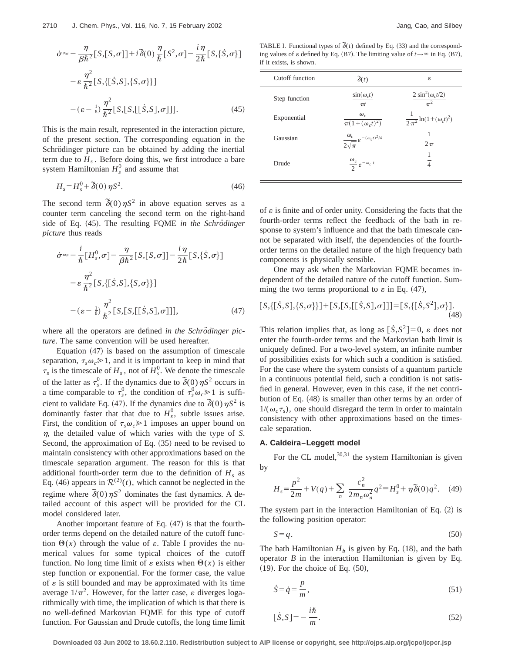$$
\dot{\sigma} \approx -\frac{\eta}{\beta \hbar^2} [S, [S, \sigma]] + i \tilde{\delta}(0) \frac{\eta}{\hbar} [S^2, \sigma] - \frac{i \eta}{2 \hbar} [S, \{\dot{S}, \sigma\}]
$$

$$
- \varepsilon \frac{\eta^2}{\hbar^2} [S, \{[\dot{S}, S], \{S, \sigma\} \}]
$$

$$
-(\varepsilon - \frac{1}{8}) \frac{\eta^2}{\hbar^2} [S, [S, [[\dot{S}, S], \sigma]]]. \tag{45}
$$

This is the main result, represented in the interaction picture, of the present section. The corresponding equation in the Schrödinger picture can be obtained by adding the inertial term due to  $H_s$ . Before doing this, we first introduce a bare system Hamiltonian  $H_s^0$  and assume that

$$
H_s = H_s^0 + \tilde{\delta}(0) \eta S^2. \tag{46}
$$

The second term  $\delta(0)\eta S^2$  in above equation serves as a counter term canceling the second term on the right-hand side of Eq.  $(45)$ . The resulting FQME *in the Schrödinger picture* thus reads

$$
\dot{\sigma} \approx -\frac{i}{\hbar} \left[ H_s^0, \sigma \right] - \frac{\eta}{\beta \hbar^2} \left[ S, \left[ S, \sigma \right] \right] - \frac{i \eta}{2 \hbar} \left[ S, \{ \dot{S}, \sigma \} \right] \n- \varepsilon \frac{\eta^2}{\hbar^2} \left[ S, \{ \left[ \dot{S}, S \right], \{ S, \sigma \} \} \right] \n- (\varepsilon - \frac{1}{8}) \frac{\eta^2}{\hbar^2} \left[ S, \left[ S, \left[ \left[ \dot{S}, S \right], \sigma \right] \right] \right], \tag{47}
$$

where all the operators are defined *in the Schrödinger picture*. The same convention will be used hereafter.

Equation  $(47)$  is based on the assumption of timescale separation,  $\tau_s \omega_c \ge 1$ , and it is important to keep in mind that  $\tau_s$  is the timescale of  $H_s$ , not of  $H_s^0$ . We denote the timescale of the latter as  $\tau_s^0$ . If the dynamics due to  $\delta(0)\eta S^2$  occurs in a time comparable to  $\tau_s^0$ , the condition of  $\tau_s^0 \omega_c \ge 1$  is sufficient to validate Eq. (47). If the dynamics due to  $\delta(0)\eta S^2$  is dominantly faster that that due to  $H_s^0$ , subtle issues arise. First, the condition of  $\tau_s \omega_c \ge 1$  imposes an upper bound on  $n$ , the detailed value of which varies with the type of *S*. Second, the approximation of Eq.  $(35)$  need to be revised to maintain consistency with other approximations based on the timescale separation argument. The reason for this is that additional fourth-order term due to the definition of  $H_s$  as Eq. (46) appears in  $\mathcal{R}^{(2)}(t)$ , which cannot be neglected in the regime where  $\delta(0)$   $\eta S^2$  dominates the fast dynamics. A detailed account of this aspect will be provided for the CL model considered later.

Another important feature of Eq.  $(47)$  is that the fourthorder terms depend on the detailed nature of the cutoff function  $\Theta(x)$  through the value of  $\varepsilon$ . Table I provides the numerical values for some typical choices of the cutoff function. No long time limit of  $\varepsilon$  exists when  $\Theta(x)$  is either step function or exponential. For the former case, the value of  $\varepsilon$  is still bounded and may be approximated with its time average  $1/\pi^2$ . However, for the latter case,  $\varepsilon$  diverges logarithmically with time, the implication of which is that there is no well-defined Markovian FQME for this type of cutoff function. For Gaussian and Drude cutoffs, the long time limit

TABLE I. Functional types of  $\tilde{\delta}(t)$  defined by Eq. (33) and the corresponding values of  $\varepsilon$  defined by Eq. (B7). The limiting value of  $t \rightarrow \infty$  in Eq. (B7), if it exists, is shown.

| Cutoff function | $\tilde{\delta}(t)$                                 | ε                                        |
|-----------------|-----------------------------------------------------|------------------------------------------|
| Step function   | $\sin(\omega_c t)$<br>$\pi t$                       | $2 \sin^2(\omega_c t/2)$                 |
| Exponential     | $\omega_c$<br>$\overline{\pi(1+(\omega_c t)^2)}$    | $\frac{1}{2\pi^2} \ln(1+(\omega_c t)^2)$ |
| Gaussian        | $\frac{\omega_c}{2\sqrt{\pi}}e^{-(\omega_c t)^2/4}$ | $\overline{2\pi}$                        |
| Drude           | $\frac{\omega_c}{2}e^{-\omega_c t }$                | 1<br>$\overline{4}$                      |

of  $\varepsilon$  is finite and of order unity. Considering the facts that the fourth-order terms reflect the feedback of the bath in response to system's influence and that the bath timescale cannot be separated with itself, the dependencies of the fourthorder terms on the detailed nature of the high frequency bath components is physically sensible.

One may ask when the Markovian FQME becomes independent of the detailed nature of the cutoff function. Summing the two terms proportional to  $\varepsilon$  in Eq. (47),

$$
[S,\{[\dot{S},S],\{S,\sigma\}\}]+[S,[S,[[\dot{S},S],\sigma]]] = [S,\{[\dot{S},S^2],\sigma\}].
$$
\n(48)

This relation implies that, as long as  $\lceil \dot{S}, S^2 \rceil = 0$ ,  $\varepsilon$  does not enter the fourth-order terms and the Markovian bath limit is uniquely defined. For a two-level system, an infinite number of possibilities exists for which such a condition is satisfied. For the case where the system consists of a quantum particle in a continuous potential field, such a condition is not satisfied in general. However, even in this case, if the net contribution of Eq.  $(48)$  is smaller than other terms by an order of  $1/(\omega_c \tau_s)$ , one should disregard the term in order to maintain consistency with other approximations based on the timescale separation.

#### **A. Caldeira–Leggett model**

For the CL model,  $30,31$  the system Hamiltonian is given by

$$
H_s = \frac{p^2}{2m} + V(q) + \sum_n \frac{c_n^2}{2m_n\omega_n^2} q^2 \equiv H_s^0 + \eta \,\tilde{\delta}(0)q^2. \tag{49}
$$

The system part in the interaction Hamiltonian of Eq.  $(2)$  is the following position operator:

$$
S = q. \tag{50}
$$

The bath Hamiltonian  $H_b$  is given by Eq. (18), and the bath operator *B* in the interaction Hamiltonian is given by Eq.  $(19)$ . For the choice of Eq.  $(50)$ ,

$$
\dot{S} = \dot{q} = \frac{p}{m},\tag{51}
$$

$$
[\dot{S}, S] = -\frac{i\hbar}{m}.\tag{52}
$$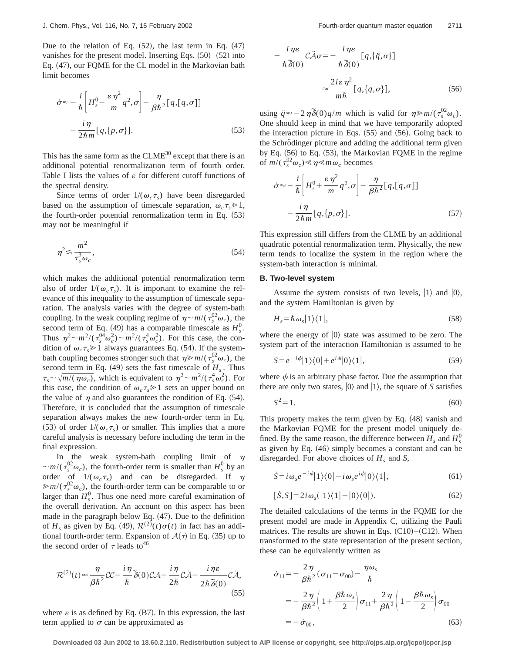Due to the relation of Eq.  $(52)$ , the last term in Eq.  $(47)$ vanishes for the present model. Inserting Eqs.  $(50)$ – $(52)$  into Eq. (47), our FOME for the CL model in the Markovian bath limit becomes

$$
\dot{\sigma} \approx -\frac{i}{\hbar} \left[ H_s^0 - \frac{\varepsilon \eta^2}{m} q^2, \sigma \right] - \frac{\eta}{\beta \hbar^2} [q, [q, \sigma]]
$$

$$
-\frac{i \eta}{2 \hbar m} [q, \{p, \sigma\}]. \tag{53}
$$

This has the same form as the  $CLME^{30}$  except that there is an additional potential renormalization term of fourth order. Table I lists the values of  $\varepsilon$  for different cutoff functions of the spectral density.

Since terms of order  $1/(\omega_c \tau_s)$  have been disregarded based on the assumption of timescale separation,  $\omega_c \tau_s \ge 1$ , the fourth-order potential renormalization term in Eq.  $(53)$ may not be meaningful if

$$
\eta^2 \lesssim \frac{m^2}{\tau_s^3 \omega_c},\tag{54}
$$

which makes the additional potential renormalization term also of order  $1/(\omega_c \tau_s)$ . It is important to examine the relevance of this inequality to the assumption of timescale separation. The analysis varies with the degree of system-bath coupling. In the weak coupling regime of  $\eta \sim m/(\tau_s^{02} \omega_c)$ , the second term of Eq. (49) has a comparable timescale as  $H_s^0$ . Thus  $\eta^2 \sim m^2/(\tau_s^0 \omega_c^2) \sim m^2/(\tau_s^4 \omega_c^2)$ . For this case, the condition of  $\omega_c \tau_s \ge 1$  always guarantees Eq. (54). If the systembath coupling becomes stronger such that  $\eta \ge m/(\tau_s^{02} \omega_c)$ , the second term in Eq.  $(49)$  sets the fast timescale of  $H<sub>s</sub>$ . Thus  $\tau_s \sim \sqrt{m/(\eta \omega_c)}$ , which is equivalent to  $\eta^2 \sim m^2/(\tau_s^4 \omega_c^2)$ . For this case, the condition of  $\omega_c \tau_s \geq 1$  sets an upper bound on the value of  $\eta$  and also guarantees the condition of Eq. (54). Therefore, it is concluded that the assumption of timescale separation always makes the new fourth-order term in Eq. (53) of order  $1/(\omega_c \tau_s)$  or smaller. This implies that a more careful analysis is necessary before including the term in the final expression.

In the weak system-bath coupling limit of  $\eta$  $\sim m/(\tau_s^{02}\omega_c)$ , the fourth-order term is smaller than  $H_s^0$  by an order of  $1/(\omega_c \tau_s)$  and can be disregarded. If  $\eta$  $\gg m/(\tau_s^{02}\omega_c)$ , the fourth-order term can be comparable to or larger than  $H_s^0$ . Thus one need more careful examination of the overall derivation. An account on this aspect has been made in the paragraph below Eq.  $(47)$ . Due to the definition of  $H_s$  as given by Eq. (49),  $\mathcal{R}^{(2)}(t)\sigma(t)$  in fact has an additional fourth-order term. Expansion of  $A(\tau)$  in Eq. (35) up to the second order of  $\tau$  leads to<sup>46</sup>

$$
\mathcal{R}^{(2)}(t) \approx \frac{\eta}{\beta \hbar^2} \mathcal{C} \mathcal{C} - \frac{i \eta}{\hbar} \widetilde{\delta}(0) \mathcal{C} \mathcal{A} + \frac{i \eta}{2 \hbar} \mathcal{C} \dot{\mathcal{A}} - \frac{i \eta \varepsilon}{2 \hbar \, \widetilde{\delta}(0)} \mathcal{C} \dot{\mathcal{A}},\tag{55}
$$

where  $\varepsilon$  is as defined by Eq. (B7). In this expression, the last term applied to  $\sigma$  can be approximated as

$$
-\frac{i\eta\varepsilon}{\hbar\,\delta(0)}\mathcal{C}\tilde{\mathcal{A}}\sigma = -\frac{i\eta\varepsilon}{\hbar\,\delta(0)}[q,\{\ddot{q},\sigma\}]
$$

$$
\approx \frac{2i\varepsilon\,\eta^2}{m\hbar}[q,\{q,\sigma\}],\tag{56}
$$

using  $\ddot{q} \approx -2\eta \delta(0)q/m$  which is valid for  $\eta \gg m/(\tau_s^{02}\omega_c)$ . One should keep in mind that we have temporarily adopted the interaction picture in Eqs.  $(55)$  and  $(56)$ . Going back to the Schrödinger picture and adding the additional term given by Eq.  $(56)$  to Eq.  $(53)$ , the Markovian FQME in the regime of  $m/(\tau_s^{02}\omega_c) \ll \eta \ll m\omega_c$  becomes

$$
\dot{\sigma} \approx -\frac{i}{\hbar} \left[ H_s^0 + \frac{\varepsilon \eta^2}{m} q^2, \sigma \right] - \frac{\eta}{\beta \hbar^2} [q, [q, \sigma]]
$$

$$
-\frac{i \eta}{2 \hbar m} [q, \{p, \sigma\}]. \tag{57}
$$

This expression still differs from the CLME by an additional quadratic potential renormalization term. Physically, the new term tends to localize the system in the region where the system-bath interaction is minimal.

#### **B. Two-level system**

Assume the system consists of two levels,  $|1\rangle$  and  $|0\rangle$ , and the system Hamiltonian is given by

$$
H_s = \hbar \,\omega_s |1\rangle\langle 1|,\tag{58}
$$

where the energy of  $|0\rangle$  state was assumed to be zero. The system part of the interaction Hamiltonian is assumed to be

$$
S = e^{-i\phi}|1\rangle\langle 0| + e^{i\phi}|0\rangle\langle 1|,\tag{59}
$$

where  $\phi$  is an arbitrary phase factor. Due the assumption that there are only two states,  $|0\rangle$  and  $|1\rangle$ , the square of *S* satisfies

$$
S^2 = 1.\tag{60}
$$

This property makes the term given by Eq.  $(48)$  vanish and the Markovian FQME for the present model uniquely defined. By the same reason, the difference between  $H_s$  and  $H_s^0$ as given by Eq.  $(46)$  simply becomes a constant and can be disregarded. For above choices of  $H_s$  and *S*,

$$
\dot{S} = i\omega_s e^{-i\phi} |1\rangle\langle 0| - i\omega_s e^{i\phi} |0\rangle\langle 1|,\tag{61}
$$

$$
[\dot{S}, S] = 2i\omega_s (|1\rangle\langle 1| - |0\rangle\langle 0|). \tag{62}
$$

The detailed calculations of the terms in the FQME for the present model are made in Appendix C, utilizing the Pauli matrices. The results are shown in Eqs.  $(C10)–(C12)$ . When transformed to the state representation of the present section, these can be equivalently written as

$$
\dot{\sigma}_{11} = -\frac{2\,\eta}{\beta\hbar^2} (\sigma_{11} - \sigma_{00}) - \frac{\eta\omega_s}{\hbar}
$$
  
= 
$$
-\frac{2\,\eta}{\beta\hbar^2} \left( 1 + \frac{\beta\hbar\,\omega_s}{2} \right) \sigma_{11} + \frac{2\,\eta}{\beta\hbar^2} \left( 1 - \frac{\beta\hbar\,\omega_s}{2} \right) \sigma_{00}
$$
  
= 
$$
-\,\dot{\sigma}_{00},\tag{63}
$$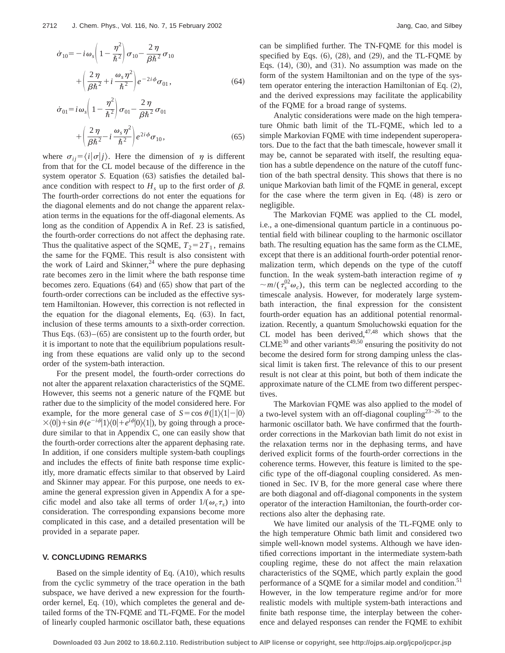$$
\dot{\sigma}_{10} = -i\omega_s \left(1 - \frac{\eta^2}{\hbar^2}\right) \sigma_{10} - \frac{2\,\eta}{\beta\hbar^2} \sigma_{10} \n+ \left(\frac{2\,\eta}{\beta\hbar^2} + i\frac{\omega_s\,\eta^2}{\hbar^2}\right) e^{-2i\phi} \sigma_{01},
$$
\n(64)

$$
\dot{\sigma}_{01} = i\omega_s \left(1 - \frac{\eta^2}{\hbar^2}\right) \sigma_{01} - \frac{2\,\eta}{\beta\hbar^2} \sigma_{01} + \left(\frac{2\,\eta}{\beta\hbar^2} - i\,\frac{\omega_s\,\eta^2}{\hbar^2}\right) e^{2i\phi} \sigma_{10},\tag{65}
$$

where  $\sigma_{ii} = \langle i | \sigma | i \rangle$ . Here the dimension of  $\eta$  is different from that for the CL model because of the difference in the system operator *S*. Equation (63) satisfies the detailed balance condition with respect to  $H_s$  up to the first order of  $\beta$ . The fourth-order corrections do not enter the equations for the diagonal elements and do not change the apparent relaxation terms in the equations for the off-diagonal elements. As long as the condition of Appendix A in Ref. 23 is satisfied, the fourth-order corrections do not affect the dephasing rate. Thus the qualitative aspect of the SQME,  $T_2 = 2T_1$ , remains the same for the FQME. This result is also consistent with the work of Laird and Skinner,<sup>24</sup> where the pure dephasing rate becomes zero in the limit where the bath response time becomes zero. Equations  $(64)$  and  $(65)$  show that part of the fourth-order corrections can be included as the effective system Hamiltonian. However, this correction is not reflected in the equation for the diagonal elements, Eq.  $(63)$ . In fact, inclusion of these terms amounts to a sixth-order correction. Thus Eqs.  $(63)$ – $(65)$  are consistent up to the fourth order, but it is important to note that the equilibrium populations resulting from these equations are valid only up to the second order of the system-bath interaction.

For the present model, the fourth-order corrections do not alter the apparent relaxation characteristics of the SQME. However, this seems not a generic nature of the FQME but rather due to the simplicity of the model considered here. For example, for the more general case of  $S = \cos \theta (1)(1-|0\rangle)$  $\times$ (0|)+sin  $\theta(e^{-i\phi}|1\rangle\langle 0|+e^{i\phi}|0\rangle\langle 1|)$ , by going through a procedure similar to that in Appendix C, one can easily show that the fourth-order corrections alter the apparent dephasing rate. In addition, if one considers multiple system-bath couplings and includes the effects of finite bath response time explicitly, more dramatic effects similar to that observed by Laird and Skinner may appear. For this purpose, one needs to examine the general expression given in Appendix A for a specific model and also take all terms of order  $1/(\omega_c \tau_s)$  into consideration. The corresponding expansions become more complicated in this case, and a detailed presentation will be provided in a separate paper.

## **V. CONCLUDING REMARKS**

Based on the simple identity of Eq.  $(A10)$ , which results from the cyclic symmetry of the trace operation in the bath subspace, we have derived a new expression for the fourthorder kernel, Eq.  $(10)$ , which completes the general and detailed forms of the TN-FQME and TL-FQME. For the model of linearly coupled harmonic oscillator bath, these equations can be simplified further. The TN-FQME for this model is specified by Eqs.  $(6)$ ,  $(28)$ , and  $(29)$ , and the TL-FQME by Eqs.  $(14)$ ,  $(30)$ , and  $(31)$ . No assumption was made on the form of the system Hamiltonian and on the type of the system operator entering the interaction Hamiltonian of Eq.  $(2)$ , and the derived expressions may facilitate the applicability of the FQME for a broad range of systems.

Analytic considerations were made on the high temperature Ohmic bath limit of the TL-FQME, which led to a simple Markovian FQME with time independent superoperators. Due to the fact that the bath timescale, however small it may be, cannot be separated with itself, the resulting equation has a subtle dependence on the nature of the cutoff function of the bath spectral density. This shows that there is no unique Markovian bath limit of the FQME in general, except for the case where the term given in Eq.  $(48)$  is zero or negligible.

The Markovian FQME was applied to the CL model, i.e., a one-dimensional quantum particle in a continuous potential field with bilinear coupling to the harmonic oscillator bath. The resulting equation has the same form as the CLME, except that there is an additional fourth-order potential renormalization term, which depends on the type of the cutoff function. In the weak system-bath interaction regime of  $\eta$  $\sim m/(\tau_s^{02}\omega_c)$ , this term can be neglected according to the timescale analysis. However, for moderately large systembath interaction, the final expression for the consistent fourth-order equation has an additional potential renormalization. Recently, a quantum Smoluchowski equation for the CL model has been derived, $47,48$  which shows that the  $CLME<sup>30</sup>$  and other variants<sup>49,50</sup> ensuring the positivity do not become the desired form for strong damping unless the classical limit is taken first. The relevance of this to our present result is not clear at this point, but both of them indicate the approximate nature of the CLME from two different perspectives.

The Markovian FQME was also applied to the model of a two-level system with an off-diagonal coupling<sup>23-26</sup> to the harmonic oscillator bath. We have confirmed that the fourthorder corrections in the Markovian bath limit do not exist in the relaxation terms nor in the dephasing terms, and have derived explicit forms of the fourth-order corrections in the coherence terms. However, this feature is limited to the specific type of the off-diagonal coupling considered. As mentioned in Sec. IV B, for the more general case where there are both diagonal and off-diagonal components in the system operator of the interaction Hamiltonian, the fourth-order corrections also alter the dephasing rate.

We have limited our analysis of the TL-FQME only to the high temperature Ohmic bath limit and considered two simple well-known model systems. Although we have identified corrections important in the intermediate system-bath coupling regime, these do not affect the main relaxation characteristics of the SQME, which partly explain the good performance of a SQME for a similar model and condition.<sup>51</sup> However, in the low temperature regime and/or for more realistic models with multiple system-bath interactions and finite bath response time, the interplay between the coherence and delayed responses can render the FQME to exhibit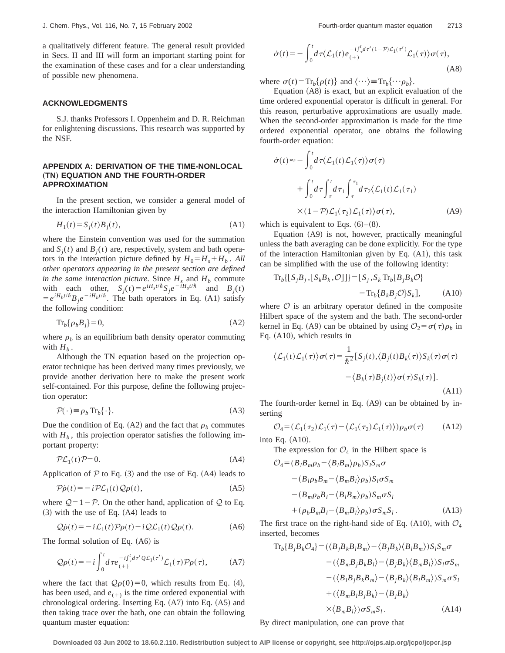a qualitatively different feature. The general result provided in Secs. II and III will form an important starting point for the examination of these cases and for a clear understanding of possible new phenomena.

#### **ACKNOWLEDGMENTS**

S.J. thanks Professors I. Oppenheim and D. R. Reichman for enlightening discussions. This research was supported by the NSF.

## **APPENDIX A: DERIVATION OF THE TIME-NONLOCAL (TN) EQUATION AND THE FOURTH-ORDER APPROXIMATION**

In the present section, we consider a general model of the interaction Hamiltonian given by

$$
H_1(t) = S_j(t)B_j(t),\tag{A1}
$$

where the Einstein convention was used for the summation and  $S_i(t)$  and  $B_i(t)$  are, respectively, system and bath operators in the interaction picture defined by  $H_0 = H_s + H_b$ . All *other operators appearing in the present section are defined in the same interaction picture.* Since  $H_s$  and  $H_b$  commute with each other,  $S_j(t) = e^{iH_s t/\hbar} S_j e^{-iH_s t/\hbar}$  and  $B_j(t)$  $= e^{iH_b t/\hbar} B_i e^{-iH_b t/\hbar}$ . The bath operators in Eq. (A1) satisfy the following condition:

$$
\operatorname{Tr}_b\{\rho_b B_j\} = 0,\tag{A2}
$$

where  $\rho_b$  is an equilibrium bath density operator commuting with  $H_b$ .

Although the TN equation based on the projection operator technique has been derived many times previously, we provide another derivation here to make the present work self-contained. For this purpose, define the following projection operator:

$$
\mathcal{P}(\cdot) \equiv \rho_b \operatorname{Tr}_b \{\cdot\}. \tag{A3}
$$

Due the condition of Eq.  $(A2)$  and the fact that  $\rho_b$  commutes with  $H_b$ , this projection operator satisfies the following important property:

$$
\mathcal{PL}_1(t)\mathcal{P} = 0.\tag{A4}
$$

Application of  $P$  to Eq. (3) and the use of Eq. (A4) leads to

$$
\mathcal{P}\dot{\rho}(t) = -i\mathcal{P}\mathcal{L}_1(t)\mathcal{Q}\rho(t),\tag{A5}
$$

where  $Q=1-\mathcal{P}$ . On the other hand, application of  $Q$  to Eq.  $(3)$  with the use of Eq.  $(A4)$  leads to

$$
\mathcal{Q}\dot{\rho}(t) = -i\mathcal{L}_1(t)\mathcal{P}\rho(t) - i\mathcal{Q}\mathcal{L}_1(t)\mathcal{Q}\rho(t). \tag{A6}
$$

The formal solution of Eq.  $(A6)$  is

$$
\mathcal{Q}\rho(t) = -i \int_0^t d\tau e_{(+)}^{-i\int_{\tau}^t d\tau' \mathcal{Q}\mathcal{L}_1(\tau')} \mathcal{L}_1(\tau) \mathcal{P}\rho(\tau), \tag{A7}
$$

where the fact that  $Q\rho(0)=0$ , which results from Eq. (4), has been used, and  $e_{(+)}$  is the time ordered exponential with chronological ordering. Inserting Eq.  $(A7)$  into Eq.  $(A5)$  and then taking trace over the bath, one can obtain the following quantum master equation:

$$
\dot{\sigma}(t) = -\int_0^t d\tau \langle \mathcal{L}_1(t) e^{-i\int_{\tau}^t d\tau'(1-\mathcal{P})\mathcal{L}_1(\tau')} \mathcal{L}_1(\tau) \rangle \sigma(\tau),
$$
\n(A8)

where  $\sigma(t) = \text{Tr}_b\{\rho(t)\}\$  and  $\langle \cdots \rangle = \text{Tr}_b\{\cdots \rho_b\}.$ 

Equation  $(AB)$  is exact, but an explicit evaluation of the time ordered exponential operator is difficult in general. For this reason, perturbative approximations are usually made. When the second-order approximation is made for the time ordered exponential operator, one obtains the following fourth-order equation:

$$
\dot{\sigma}(t) \approx -\int_0^t d\tau \langle \mathcal{L}_1(t) \mathcal{L}_1(\tau) \rangle \sigma(\tau)
$$
  
+ 
$$
\int_0^t d\tau \int_\tau^t d\tau_1 \int_\tau^{\tau_1} d\tau_2 \langle \mathcal{L}_1(t) \mathcal{L}_1(\tau_1)
$$
  

$$
\times (1-\mathcal{P}) \mathcal{L}_1(\tau_2) \mathcal{L}_1(\tau) \rangle \sigma(\tau), \tag{A9}
$$

which is equivalent to Eqs.  $(6)$ – $(8)$ .

Equation  $(A9)$  is not, however, practically meaningful unless the bath averaging can be done explicitly. For the type of the interaction Hamiltonian given by Eq.  $(A1)$ , this task can be simplified with the use of the following identity:

$$
\mathrm{Tr}_{b}\{[S_{j}B_{j},[S_{k}B_{k},\mathcal{O}]]\}=[S_{j},S_{k}\mathrm{Tr}_{b}\{B_{j}B_{k}\mathcal{O}\}\
$$

$$
-\mathrm{Tr}_{b}\{B_{k}B_{j}\mathcal{O}\}S_{k}],\tag{A10}
$$

where  $\mathcal O$  is an arbitrary operator defined in the composite Hilbert space of the system and the bath. The second-order kernel in Eq. (A9) can be obtained by using  $\mathcal{O}_2 = \sigma(\tau)\rho_b$  in Eq.  $(A10)$ , which results in

$$
\langle \mathcal{L}_1(t)\mathcal{L}_1(\tau)\rangle \sigma(\tau) = \frac{1}{\hbar^2} \left[ S_j(t), \langle B_j(t)B_k(\tau)\rangle S_k(\tau)\sigma(\tau) - \langle B_k(\tau)B_j(t)\rangle \sigma(\tau)S_k(\tau) \right].
$$
\n(A11)

The fourth-order kernel in Eq.  $(A9)$  can be obtained by inserting

$$
\mathcal{O}_4 = (\mathcal{L}_1(\tau_2)\mathcal{L}_1(\tau) - \langle \mathcal{L}_1(\tau_2)\mathcal{L}_1(\tau) \rangle) \rho_b \sigma(\tau) \tag{A12}
$$

into Eq.  $(A10)$ .

The expression for  $\mathcal{O}_4$  in the Hilbert space is

$$
\mathcal{O}_4 = (B_l B_m \rho_b - \langle B_l B_m \rangle \rho_b) S_l S_m \sigma \n- (B_l \rho_b B_m - \langle B_m B_l \rangle \rho_b) S_l \sigma S_m \n- (B_m \rho_b B_l - \langle B_l B_m \rangle \rho_b) S_m \sigma S_l \n+ (\rho_b B_m B_l - \langle B_m B_l \rangle \rho_b) \sigma S_m S_l.
$$
\n(A13)

The first trace on the right-hand side of Eq. (A10), with  $\mathcal{O}_4$ inserted, becomes

$$
\begin{aligned}\n\operatorname{Tr}_{b}\{B_{j}B_{k}O_{4}\} &= (\langle B_{j}B_{k}B_{l}B_{m}\rangle - \langle B_{j}B_{k}\rangle\langle B_{l}B_{m}\rangle)S_{l}S_{m}\sigma \\
&\quad - (\langle B_{m}B_{j}B_{k}B_{l}\rangle - \langle B_{j}B_{k}\rangle\langle B_{m}B_{l}\rangle)S_{l}\sigma S_{m} \\
&\quad - (\langle B_{l}B_{j}B_{k}B_{m}\rangle - \langle B_{j}B_{k}\rangle\langle B_{l}B_{m}\rangle)S_{m}\sigma S_{l} \\
&\quad + (\langle B_{m}B_{l}B_{j}B_{k}\rangle - \langle B_{j}B_{k}\rangle \\
&\quad \times \langle B_{m}B_{l}\rangle) \sigma S_{m}S_{l}.\n\end{aligned}
$$
\n(A14)

By direct manipulation, one can prove that

**Downloaded 03 Jun 2002 to 18.60.2.110. Redistribution subject to AIP license or copyright, see http://ojps.aip.org/jcpo/jcpcr.jsp**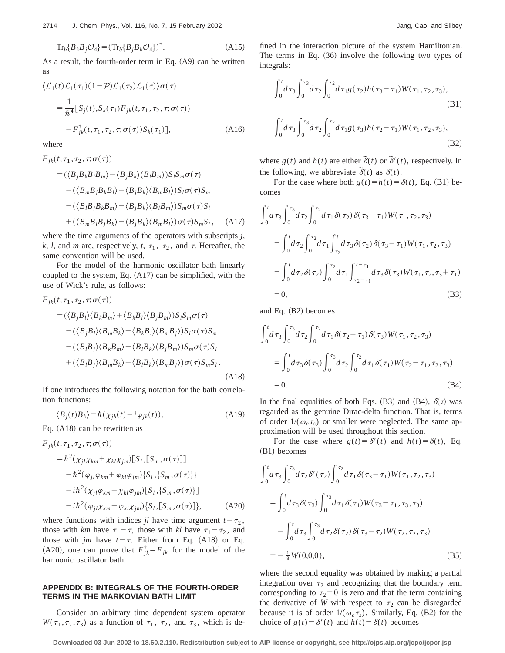$$
\operatorname{Tr}_{b} \{ B_{k} B_{j} \mathcal{O}_{4} \} = (\operatorname{Tr}_{b} \{ B_{j} B_{k} \mathcal{O}_{4} \})^{\dagger}.
$$
 (A15)

As a result, the fourth-order term in Eq.  $(A9)$  can be written as

$$
\langle \mathcal{L}_1(t)\mathcal{L}_1(\tau_1)(1-\mathcal{P})\mathcal{L}_1(\tau_2)\mathcal{L}_1(\tau)\rangle \sigma(\tau)
$$
  
= 
$$
\frac{1}{\hbar^4} [S_j(t), S_k(\tau_1)F_{jk}(t, \tau_1, \tau_2, \tau; \sigma(\tau))
$$
  

$$
-F_{jk}^{\dagger}(t, \tau_1, \tau_2, \tau; \sigma(\tau))S_k(\tau_1)],
$$
 (A16)

where

$$
F_{jk}(t, \tau_1, \tau_2, \tau; \sigma(\tau))
$$
  
=\langle \langle B\_j B\_k B\_l B\_m \rangle - \langle B\_j B\_k \rangle \langle B\_l B\_m \rangle) S\_l S\_m \sigma(\tau)   
-\langle \langle B\_m B\_j B\_k B\_l \rangle - \langle B\_j B\_k \rangle \langle B\_m B\_l \rangle) S\_l \sigma(\tau) S\_m   
-\langle \langle B\_l B\_j B\_k B\_m \rangle - \langle B\_j B\_k \rangle \langle B\_l B\_m \rangle) S\_m \sigma(\tau) S\_l   
+\langle \langle B\_m B\_l B\_j B\_k \rangle - \langle B\_j B\_k \rangle \langle B\_m B\_l \rangle) \sigma(\tau) S\_m S\_l, \quad (A17)

where the time arguments of the operators with subscripts *j, k*, *l*, and *m* are, respectively, *t*,  $\tau_1$ ,  $\tau_2$ , and  $\tau$ . Hereafter, the same convention will be used.

For the model of the harmonic oscillator bath linearly coupled to the system, Eq.  $(A17)$  can be simplified, with the use of Wick's rule, as follows:

$$
F_{jk}(t, \tau_1, \tau_2, \tau; \sigma(\tau))
$$
  
=  $(\langle B_j B_l \rangle \langle B_k B_m \rangle + \langle B_k B_l \rangle \langle B_j B_m \rangle) S_l S_m \sigma(\tau)$   
 $- \langle (B_j B_l \rangle \langle B_m B_k \rangle + \langle B_k B_l \rangle \langle B_m B_j \rangle) S_l \sigma(\tau) S_m$   
 $- \langle (B_l B_j \rangle \langle B_k B_m \rangle + \langle B_l B_k \rangle \langle B_j B_m \rangle) S_m \sigma(\tau) S_l$   
 $+ \langle (B_l B_j \rangle \langle B_m B_k \rangle + \langle B_l B_k \rangle \langle B_m B_j \rangle) \sigma(\tau) S_m S_l.$   
(A18)

If one introduces the following notation for the bath correlation functions:

$$
\langle B_j(t)B_k \rangle = \hbar \left( \chi_{jk}(t) - i \varphi_{jk}(t) \right), \tag{A19}
$$

Eq.  $(A18)$  can be rewritten as

$$
F_{jk}(t, \tau_1, \tau_2, \tau; \sigma(\tau))
$$
  
\n
$$
= \hbar^2(\chi_{jl}\chi_{km} + \chi_{kl}\chi_{jm})[S_l, [S_m, \sigma(\tau)]]
$$
  
\n
$$
- \hbar^2(\varphi_{jl}\varphi_{km} + \varphi_{kl}\varphi_{jm})\{S_l, \{S_m, \sigma(\tau)\}\}\
$$
  
\n
$$
-i\hbar^2(\chi_{jl}\varphi_{km} + \chi_{kl}\varphi_{jm})[S_l, \{S_m, \sigma(\tau)\}]
$$
  
\n
$$
-i\hbar^2(\varphi_{jl}\chi_{km} + \varphi_{kl}\chi_{jm})\{S_l, [S_m, \sigma(\tau)]\},
$$
 (A20)

where functions with indices *jl* have time argument  $t - \tau_2$ , those with *km* have  $\tau_1 - \tau$ , those with *kl* have  $\tau_1 - \tau_2$ , and those with *jm* have  $t-\tau$ . Either from Eq. (A18) or Eq. (A20), one can prove that  $F_{jk}^{\dagger} = F_{jk}$  for the model of the harmonic oscillator bath.

## **APPENDIX B: INTEGRALS OF THE FOURTH-ORDER TERMS IN THE MARKOVIAN BATH LIMIT**

Consider an arbitrary time dependent system operator  $W(\tau_1, \tau_2, \tau_3)$  as a function of  $\tau_1$ ,  $\tau_2$ , and  $\tau_3$ , which is defined in the interaction picture of the system Hamiltonian. The terms in Eq.  $(36)$  involve the following two types of integrals:

$$
\int_0^t d\tau_3 \int_0^{\tau_3} d\tau_2 \int_0^{\tau_2} d\tau_1 g(\tau_2) h(\tau_3 - \tau_1) W(\tau_1, \tau_2, \tau_3),
$$
\n(B1)

$$
\int_0^t d\tau_3 \int_0^{\tau_3} d\tau_2 \int_0^{\tau_2} d\tau_1 g(\tau_3) h(\tau_2 - \tau_1) W(\tau_1, \tau_2, \tau_3),
$$
\n(B2)

where  $g(t)$  and  $h(t)$  are either  $\tilde{\delta}(t)$  or  $\tilde{\delta}'(t)$ , respectively. In the following, we abbreviate  $\delta(t)$  as  $\delta(t)$ .

For the case where both  $g(t) = h(t) = \delta(t)$ , Eq. (B1) becomes

$$
\int_{0}^{t} d\tau_{3} \int_{0}^{\tau_{3}} d\tau_{2} \int_{0}^{\tau_{2}} d\tau_{1} \delta(\tau_{2}) \delta(\tau_{3} - \tau_{1}) W(\tau_{1}, \tau_{2}, \tau_{3})
$$
\n
$$
= \int_{0}^{t} d\tau_{2} \int_{0}^{\tau_{2}} d\tau_{1} \int_{\tau_{2}}^{t} d\tau_{3} \delta(\tau_{2}) \delta(\tau_{3} - \tau_{1}) W(\tau_{1}, \tau_{2}, \tau_{3})
$$
\n
$$
= \int_{0}^{t} d\tau_{2} \delta(\tau_{2}) \int_{0}^{\tau_{2}} d\tau_{1} \int_{\tau_{2} - \tau_{1}}^{t - \tau_{1}} d\tau_{3} \delta(\tau_{3}) W(\tau_{1}, \tau_{2}, \tau_{3} + \tau_{1})
$$
\n
$$
= 0,
$$
\n(B3)

and Eq.  $(B2)$  becomes

$$
\int_0^t d\tau_3 \int_0^{\tau_3} d\tau_2 \int_0^{\tau_2} d\tau_1 \delta(\tau_2 - \tau_1) \delta(\tau_3) W(\tau_1, \tau_2, \tau_3)
$$
  
= 
$$
\int_0^t d\tau_3 \delta(\tau_3) \int_0^{\tau_3} d\tau_2 \int_0^{\tau_2} d\tau_1 \delta(\tau_1) W(\tau_2 - \tau_1, \tau_2, \tau_3)
$$
  
= 0. (B4)

In the final equalities of both Eqs. (B3) and (B4),  $\delta(\tau)$  was regarded as the genuine Dirac-delta function. That is, terms of order  $1/(\omega_c \tau_s)$  or smaller were neglected. The same approximation will be used throughout this section.

For the case where  $g(t) = \delta'(t)$  and  $h(t) = \delta(t)$ , Eq. (B1) becomes

$$
\int_0^t d\tau_3 \int_0^{\tau_3} d\tau_2 \delta'(\tau_2) \int_0^{\tau_2} d\tau_1 \delta(\tau_3 - \tau_1) W(\tau_1, \tau_2, \tau_3)
$$
  
\n
$$
= \int_0^t d\tau_3 \delta(\tau_3) \int_0^{\tau_3} d\tau_1 \delta(\tau_1) W(\tau_3 - \tau_1, \tau_3, \tau_3)
$$
  
\n
$$
- \int_0^t d\tau_3 \int_0^{\tau_3} d\tau_2 \delta(\tau_2) \delta(\tau_3 - \tau_2) W(\tau_2, \tau_2, \tau_3)
$$
  
\n
$$
= -\frac{1}{8} W(0,0,0), \tag{B5}
$$

where the second equality was obtained by making a partial integration over  $\tau_2$  and recognizing that the boundary term corresponding to  $\tau_2 = 0$  is zero and that the term containing the derivative of *W* with respect to  $\tau_2$  can be disregarded because it is of order  $1/(\omega_c \tau_s)$ . Similarly, Eq. (B2) for the choice of  $g(t) = \delta'(t)$  and  $h(t) = \delta(t)$  becomes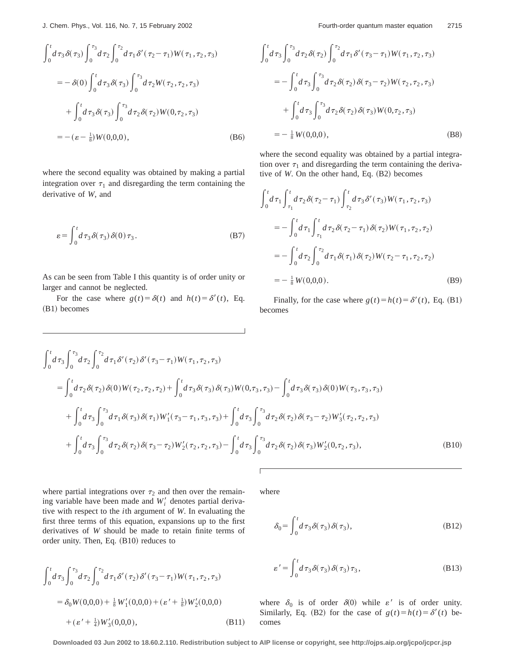$$
\int_0^t d\tau_3 \delta(\tau_3) \int_0^{\tau_3} d\tau_2 \int_0^{\tau_2} d\tau_1 \delta'(\tau_2 - \tau_1) W(\tau_1, \tau_2, \tau_3)
$$
  
=  $-\delta(0) \int_0^t d\tau_3 \delta(\tau_3) \int_0^{\tau_3} d\tau_2 W(\tau_2, \tau_2, \tau_3)$   
+  $\int_0^t d\tau_3 \delta(\tau_3) \int_0^{\tau_3} d\tau_2 \delta(\tau_2) W(0, \tau_2, \tau_3)$   
=  $-(\varepsilon - \frac{1}{8}) W(0, 0, 0),$  (B6)

where the second equality was obtained by making a partial integration over  $\tau_1$  and disregarding the term containing the derivative of *W*, and

$$
\varepsilon = \int_0^t d\,\tau_3 \,\delta(\,\tau_3)\,\delta(0)\,\tau_3. \tag{B7}
$$

As can be seen from Table I this quantity is of order unity or larger and cannot be neglected.

For the case where  $g(t) = \delta(t)$  and  $h(t) = \delta'(t)$ , Eq. (B1) becomes

$$
\int_0^t d\tau_3 \int_0^{\tau_3} d\tau_2 \delta(\tau_2) \int_0^{\tau_2} d\tau_1 \delta'(\tau_3 - \tau_1) W(\tau_1, \tau_2, \tau_3)
$$
  
= 
$$
- \int_0^t d\tau_3 \int_0^{\tau_3} d\tau_2 \delta(\tau_2) \delta(\tau_3 - \tau_2) W(\tau_2, \tau_2, \tau_3)
$$
  
+ 
$$
\int_0^t d\tau_3 \int_0^{\tau_3} d\tau_2 \delta(\tau_2) \delta(\tau_3) W(0, \tau_2, \tau_3)
$$
  
= 
$$
- \frac{1}{8} W(0, 0, 0),
$$
 (B8)

where the second equality was obtained by a partial integration over  $\tau_1$  and disregarding the term containing the derivative of  $W$ . On the other hand, Eq.  $(B2)$  becomes

$$
\int_{0}^{t} d\tau_{1} \int_{\tau_{1}}^{t} d\tau_{2} \delta(\tau_{2} - \tau_{1}) \int_{\tau_{2}}^{t} d\tau_{3} \delta'(\tau_{3}) W(\tau_{1}, \tau_{2}, \tau_{3})
$$
  
\n
$$
= -\int_{0}^{t} d\tau_{1} \int_{\tau_{1}}^{t} d\tau_{2} \delta(\tau_{2} - \tau_{1}) \delta(\tau_{2}) W(\tau_{1}, \tau_{2}, \tau_{2})
$$
  
\n
$$
= -\int_{0}^{t} d\tau_{2} \int_{0}^{\tau_{2}} d\tau_{1} \delta(\tau_{1}) \delta(\tau_{2}) W(\tau_{2} - \tau_{1}, \tau_{2}, \tau_{2})
$$
  
\n
$$
= -\frac{1}{8} W(0, 0, 0).
$$
 (B9)

Finally, for the case where  $g(t) = h(t) = \delta'(t)$ , Eq. (B1) becomes

$$
\int_{0}^{t} d\tau_{3} \int_{0}^{\tau_{3}} d\tau_{2} \int_{0}^{\tau_{2}} d\tau_{1} \delta'(\tau_{2}) \delta'(\tau_{3} - \tau_{1}) W(\tau_{1}, \tau_{2}, \tau_{3})
$$
\n
$$
= \int_{0}^{t} d\tau_{2} \delta(\tau_{2}) \delta(0) W(\tau_{2}, \tau_{2}, \tau_{2}) + \int_{0}^{t} d\tau_{3} \delta(\tau_{3}) \delta(\tau_{3}) W(0, \tau_{3}, \tau_{3}) - \int_{0}^{t} d\tau_{3} \delta(\tau_{3}) \delta(0) W(\tau_{3}, \tau_{3}, \tau_{3})
$$
\n
$$
+ \int_{0}^{t} d\tau_{3} \int_{0}^{\tau_{3}} d\tau_{1} \delta(\tau_{3}) \delta(\tau_{1}) W'_{1}(\tau_{3} - \tau_{1}, \tau_{3}, \tau_{3}) + \int_{0}^{t} d\tau_{3} \int_{0}^{\tau_{3}} d\tau_{2} \delta(\tau_{2}) \delta(\tau_{3} - \tau_{2}) W'_{3}(\tau_{2}, \tau_{2}, \tau_{3})
$$
\n
$$
+ \int_{0}^{t} d\tau_{3} \int_{0}^{\tau_{3}} d\tau_{2} \delta(\tau_{2}) \delta(\tau_{3} - \tau_{2}) W'_{2}(\tau_{2}, \tau_{2}, \tau_{3}) - \int_{0}^{t} d\tau_{3} \int_{0}^{\tau_{3}} d\tau_{2} \delta(\tau_{2}) \delta(\tau_{3}) W'_{2}(0, \tau_{2}, \tau_{3}), \qquad (B10)
$$

where partial integrations over  $\tau_2$  and then over the remaining variable have been made and  $W_i'$  denotes partial derivative with respect to the *i*th argument of *W*. In evaluating the first three terms of this equation, expansions up to the first derivatives of *W* should be made to retain finite terms of order unity. Then, Eq.  $(B10)$  reduces to

$$
\int_{0}^{t_{1}} d\tau_{3} \int_{0}^{\tau_{3}} d\tau_{2} \int_{0}^{\tau_{2}} d\tau_{1} \delta'(\tau_{2}) \delta'(\tau_{3} - \tau_{1}) W(\tau_{1}, \tau_{2}, \tau_{3})
$$
  
=  $\delta_{0} W(0, 0, 0) + \frac{1}{8} W'_{1}(0, 0, 0) + (\varepsilon' + \frac{1}{8}) W'_{2}(0, 0, 0)$   
+  $(\varepsilon' + \frac{1}{4}) W'_{3}(0, 0, 0),$  (B11)

 $\int$ 

where

$$
\delta_0 = \int_0^t d\,\tau_3 \,\delta(\,\tau_3)\,\delta(\,\tau_3),\tag{B12}
$$

$$
\varepsilon' = \int_0^t d\tau_3 \delta(\tau_3) \delta(\tau_3) \tau_3, \tag{B13}
$$

where  $\delta_0$  is of order  $\delta(0)$  while  $\varepsilon'$  is of order unity. Similarly, Eq. (B2) for the case of  $g(t) = h(t) = \delta'(t)$  becomes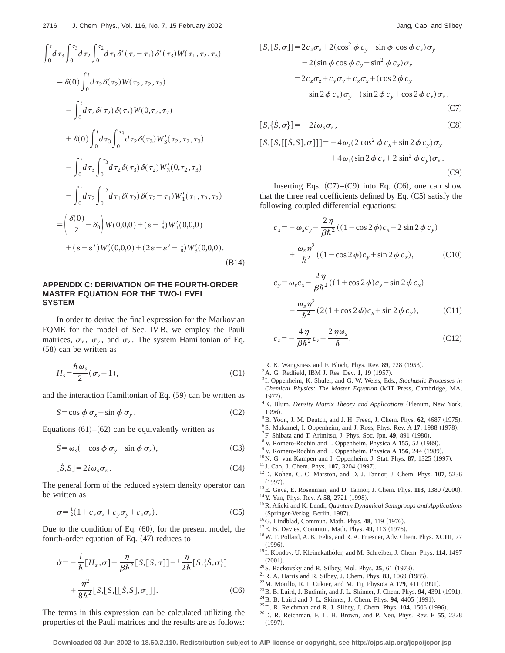$$
\int_{0}^{t} d\tau_{3} \int_{0}^{\tau_{3}} d\tau_{2} \int_{0}^{\tau_{2}} d\tau_{1} \delta'(\tau_{2} - \tau_{1}) \delta'(\tau_{3}) W(\tau_{1}, \tau_{2}, \tau_{3})
$$
  
\n
$$
= \delta(0) \int_{0}^{t} d\tau_{2} \delta(\tau_{2}) W(\tau_{2}, \tau_{2}, \tau_{2})
$$
  
\n
$$
- \int_{0}^{t} d\tau_{2} \delta(\tau_{2}) \delta(\tau_{2}) W(0, \tau_{2}, \tau_{2})
$$
  
\n
$$
+ \delta(0) \int_{0}^{t} d\tau_{3} \int_{0}^{\tau_{3}} d\tau_{2} \delta(\tau_{3}) W'_{3}(\tau_{2}, \tau_{2}, \tau_{3})
$$
  
\n
$$
- \int_{0}^{t} d\tau_{3} \int_{0}^{\tau_{3}} d\tau_{2} \delta(\tau_{3}) \delta(\tau_{2}) W'_{3}(0, \tau_{2}, \tau_{3})
$$
  
\n
$$
- \int_{0}^{t} d\tau_{2} \int_{0}^{\tau_{2}} d\tau_{1} \delta(\tau_{2}) \delta(\tau_{2} - \tau_{1}) W'_{1}(\tau_{1}, \tau_{2}, \tau_{2})
$$
  
\n
$$
= \left(\frac{\delta(0)}{2} - \delta_{0}\right) W(0, 0, 0) + (\varepsilon - \frac{1}{8}) W'_{1}(0, 0, 0)
$$
  
\n
$$
+ (\varepsilon - \varepsilon') W'_{2}(0, 0, 0) + (2\varepsilon - \varepsilon' - \frac{1}{8}) W'_{3}(0, 0, 0).
$$
  
\n(B14)

## **APPENDIX C: DERIVATION OF THE FOURTH-ORDER MASTER EQUATION FOR THE TWO-LEVEL SYSTEM**

In order to derive the final expression for the Markovian FQME for the model of Sec. IV B, we employ the Pauli matrices,  $\sigma_x$ ,  $\sigma_y$ , and  $\sigma_z$ . The system Hamiltonian of Eq.  $(58)$  can be written as

$$
H_s = \frac{\hbar \,\omega_s}{2} (\,\sigma_z + 1\,),\tag{C1}
$$

and the interaction Hamiltonian of Eq.  $(59)$  can be written as

$$
S = \cos \phi \, \sigma_x + \sin \phi \, \sigma_y \,. \tag{C2}
$$

Equations  $(61)–(62)$  can be equivalently written as

$$
\dot{S} = \omega_s (-\cos \phi \, \sigma_y + \sin \phi \, \sigma_x), \tag{C3}
$$

$$
[\dot{S}, S] = 2i\omega_s \sigma_z. \tag{C4}
$$

The general form of the reduced system density operator can be written as

$$
\sigma = \frac{1}{2}(1 + c_x \sigma_x + c_y \sigma_y + c_z \sigma_z). \tag{C5}
$$

Due to the condition of Eq.  $(60)$ , for the present model, the fourth-order equation of Eq.  $(47)$  reduces to

$$
\dot{\sigma} = -\frac{i}{\hbar} [H_s, \sigma] - \frac{\eta}{\beta \hbar^2} [S, [S, \sigma]] - i \frac{\eta}{2\hbar} [S, \{\dot{S}, \sigma\}]
$$

$$
+ \frac{\eta^2}{8\hbar^2} [S, [S, [[\dot{S}, S], \sigma]]]. \tag{C6}
$$

The terms in this expression can be calculated utilizing the properties of the Pauli matrices and the results are as follows:

$$
[S,[S,\sigma]] = 2c_z\sigma_z + 2(\cos^2\phi c_y - \sin\phi\cos\phi c_x)\sigma_y
$$
  
\n
$$
-2(\sin\phi\cos\phi c_y - \sin^2\phi c_x)\sigma_x
$$
  
\n
$$
= 2c_z\sigma_z + c_y\sigma_y + c_x\sigma_x + (\cos 2\phi c_y - \sin 2\phi c_x)\sigma_y - (\sin 2\phi c_y + \cos 2\phi c_x)\sigma_x,
$$
  
\n(C7)

$$
[S,\{\dot{S},\sigma\}] = -2i\omega_s \sigma_z, \qquad (C8)
$$

$$
[S,[S,[[S,S],\sigma]]]=-4\omega_s(2\cos^2\phi c_x+\sin 2\phi c_y)\sigma_y+4\omega_s(\sin 2\phi c_x+2\sin^2\phi c_y)\sigma_x.
$$
\n(C9)

Inserting Eqs.  $(C7)$ – $(C9)$  into Eq.  $(C6)$ , one can show that the three real coefficients defined by Eq.  $(C5)$  satisfy the following coupled differential equations:

$$
\dot{c}_x = -\omega_s c_y - \frac{2\,\eta}{\beta \hbar^2} ((1 - \cos 2\,\phi)c_x - 2\sin 2\,\phi c_y) \n+ \frac{\omega_s \,\eta^2}{\hbar^2} ((1 - \cos 2\,\phi)c_y + \sin 2\,\phi c_x), \tag{C10}
$$

$$
\dot{c}_y = \omega_s c_x - \frac{2\,\eta}{\beta \hbar^2} ((1 + \cos 2\,\phi)c_y - \sin 2\,\phi c_x)
$$

$$
-\frac{\omega_s \,\eta^2}{\hbar^2} (2(1 + \cos 2\,\phi)c_x + \sin 2\,\phi c_y),\tag{C11}
$$

$$
\dot{c}_z = -\frac{4\,\eta}{\beta\hbar^2}c_z - \frac{2\,\eta\omega_s}{\hbar}.\tag{C12}
$$

 ${}^{1}$ R. K. Wangsness and F. Bloch, Phys. Rev. 89, 728 (1953).

- $^{2}$ A. G. Redfield, IBM J. Res. Dev. 1, 19 (1957).
- <sup>3</sup> I. Oppenheim, K. Shuler, and G. W. Weiss, Eds., *Stochastic Processes in Chemical Physics: The Master Equation* (MIT Press, Cambridge, MA, 1977).
- <sup>4</sup>K. Blum, *Density Matrix Theory and Applications* (Plenum, New York, 1996).
- ${}^{5}$ B. Yoon, J. M. Deutch, and J. H. Freed, J. Chem. Phys.  $62$ , 4687 (1975).
- <sup>6</sup>S. Mukamel, I. Oppenheim, and J. Ross, Phys. Rev. A 17, 1988 (1978).
- ${}^{7}$ F. Shibata and T. Arimitsu, J. Phys. Soc. Jpn. 49, 891 (1980).
- <sup>8</sup> V. Romero-Rochin and I. Oppenheim, Physica A 155, 52 (1989).
- <sup>9</sup> V. Romero-Rochin and I. Oppenheim, Physica A 156, 244 (1989).
- $10$ N. G. van Kampen and I. Oppenheim, J. Stat. Phys.  $87$ , 1325 (1997).
- <sup>11</sup> J. Cao, J. Chem. Phys. **107**, 3204 (1997).
- 12D. Kohen, C. C. Marston, and D. J. Tannor, J. Chem. Phys. **107**, 5236  $(1997).$
- <sup>13</sup>E. Geva, E. Rosenman, and D. Tannor, J. Chem. Phys. **113**, 1380 (2000). <sup>14</sup> Y. Yan, Phys. Rev. A **58**, 2721 (1998).
- 15R. Alicki and K. Lendi, *Quantum Dynamical Semigroups and Applications*
- (Springer-Verlag, Berlin, 1987).
- <sup>16</sup>G. Lindblad, Commun. Math. Phys. **48**, 119 (1976).
- <sup>17</sup>E. B. Davies, Commun. Math. Phys. **49**, 113 (1976).
- 18W. T. Pollard, A. K. Felts, and R. A. Friesner, Adv. Chem. Phys. **XCIII**, 77  $(1996).$
- <sup>19</sup> I. Kondov, U. Kleinekathöfer, and M. Schreiber, J. Chem. Phys. 114, 1497  $(2001)$ .
- $20$ S. Rackovsky and R. Silbey, Mol. Phys. **25**, 61 (1973).
- $21$  R. A. Harris and R. Silbey, J. Chem. Phys. **83**, 1069 (1985).
- $22$ M. Morillo, R. I. Cukier, and M. Tij, Physica A 179, 411 (1991).
- <sup>23</sup> B. B. Laird, J. Budimir, and J. L. Skinner, J. Chem. Phys. **94**, 4391 (1991).
- <sup>24</sup> B. B. Laird and J. L. Skinner, J. Chem. Phys. **94**, 4405 (1991).
- <sup>25</sup> D. R. Reichman and R. J. Silbey, J. Chem. Phys. **104**, 1506 (1996).
- 26D. R. Reichman, F. L. H. Brown, and P. Neu, Phys. Rev. E **55**, 2328  $(1997).$